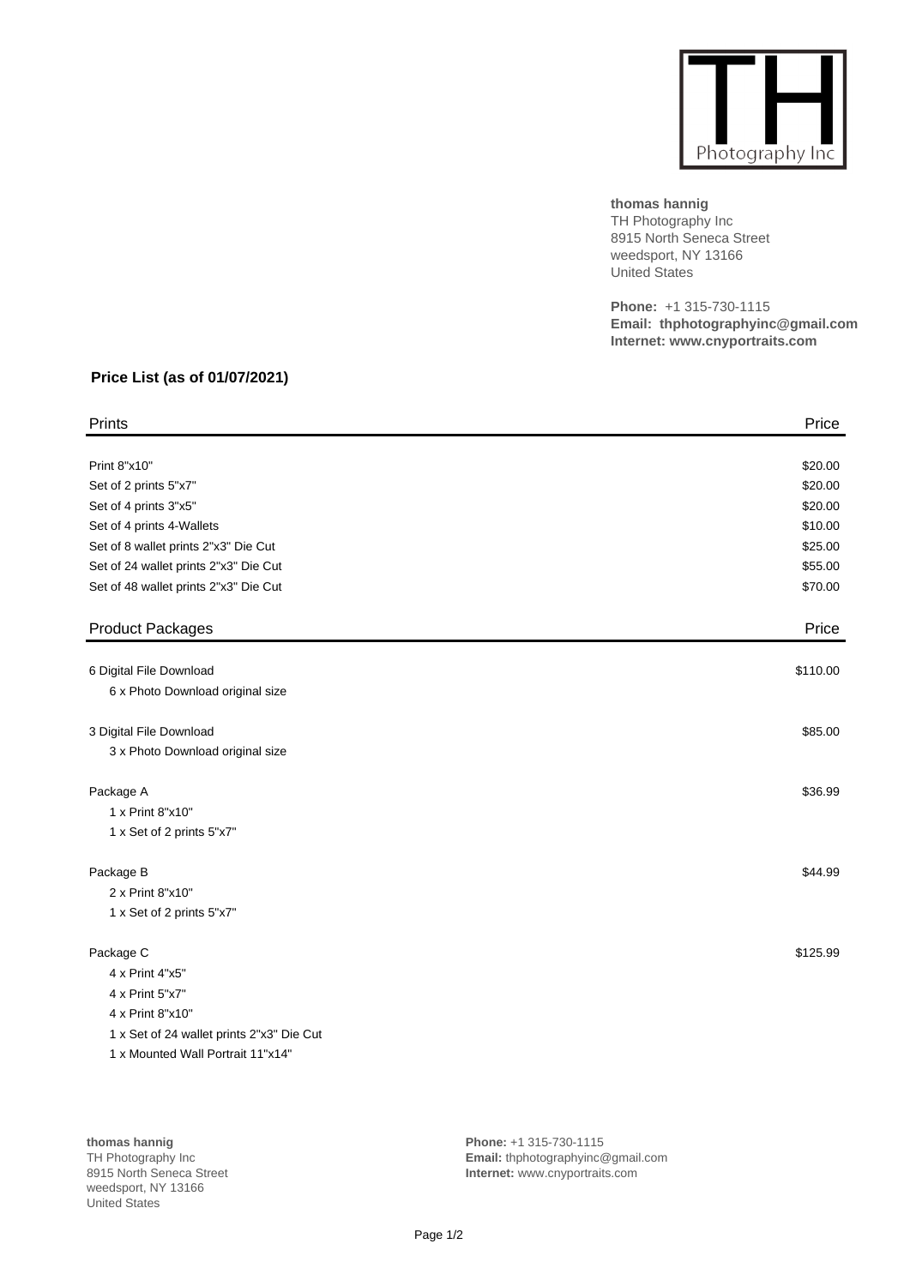

**thomas hannig** TH Photography Inc 8915 North Seneca Street weedsport, NY 13166 United States

**Phone:** +1 315-730-1115 **Email: thphotographyinc@gmail.com Internet: www.cnyportraits.com**

## **Price List (as of 01/07/2021)**

| Prints                                    | Price    |
|-------------------------------------------|----------|
|                                           |          |
| Print 8"x10"                              | \$20.00  |
| Set of 2 prints 5"x7"                     | \$20.00  |
| Set of 4 prints 3"x5"                     | \$20.00  |
| Set of 4 prints 4-Wallets                 | \$10.00  |
| Set of 8 wallet prints 2"x3" Die Cut      | \$25.00  |
| Set of 24 wallet prints 2"x3" Die Cut     | \$55.00  |
| Set of 48 wallet prints 2"x3" Die Cut     | \$70.00  |
| <b>Product Packages</b>                   | Price    |
| 6 Digital File Download                   | \$110.00 |
| 6 x Photo Download original size          |          |
| 3 Digital File Download                   | \$85.00  |
| 3 x Photo Download original size          |          |
| Package A                                 | \$36.99  |
| 1 x Print 8"x10"                          |          |
| 1 x Set of 2 prints 5"x7"                 |          |
| Package B                                 | \$44.99  |
| 2 x Print 8"x10"                          |          |
| 1 x Set of 2 prints 5"x7"                 |          |
| Package C                                 | \$125.99 |
| 4 x Print 4"x5"                           |          |
| 4 x Print 5"x7"                           |          |
| 4 x Print 8"x10"                          |          |
| 1 x Set of 24 wallet prints 2"x3" Die Cut |          |
| 1 x Mounted Wall Portrait 11"x14"         |          |

**thomas hannig** TH Photography Inc 8915 North Seneca Street weedsport, NY 13166 United States

**Phone:** +1 315-730-1115 **Email:** thphotographyinc@gmail.com **Internet:** www.cnyportraits.com